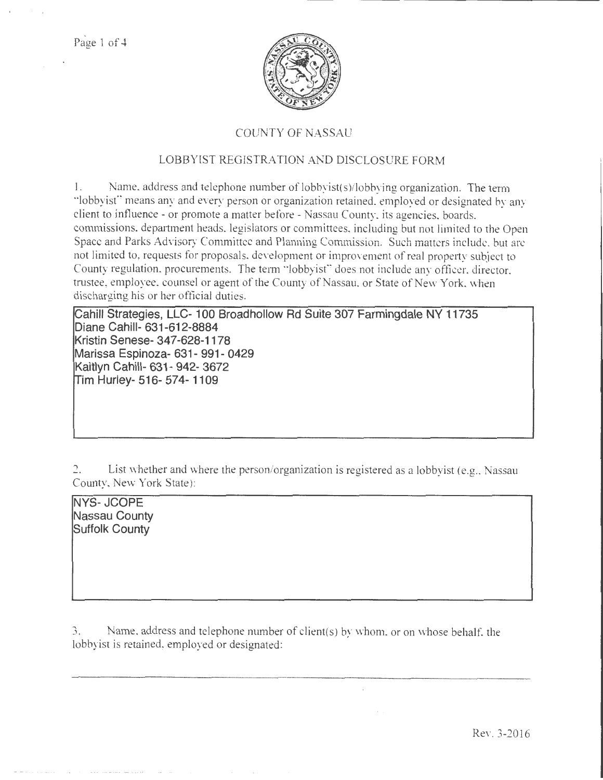$\mathcal{C}^{\mathcal{A}}$ 



## COUNTY OF NASSAU

## LOBBYIST REGISTRATION AND DISCLOSURE FORM

1. Name. address and telephone number of lobbyist( s )/lobbying organization. The term ·'lobbyist" means any and every person or organization retained, employed or designated by any client to influence- or promote a matter before- Nassau County, its agencies, boards, commissions, department heads. legislators or committees, including but not limited to the Open Space and Parks Advisory Committee and Planning Commission. Such matters include, but arc not limited to, requests for proposals, development or improvement of real property subject to County regulation, procurements. The term " lobbyist" does not include any officer, director, trustee, employee, counsel or agent of the County of Nassau, or State of New York, when discharging his or her official duties.

**Cahill Strategies, LLC- 100 Broad hollow Rd Suite 307 Farmingdale NY 11735 Diane Cahill- 631-612-8884 Kristin Senese- 347-628-1178 Marissa Espinoza- 631- 991- 0429 Kaitlyn Cahill- 631- 942- 3672 !rim Hurley- 516- 57 4- 11 09** 

2. List whether and where the person/organization is registered as a lobbyist (e.g., Nassau County, New York State):

**NYS- JCOPE Nassau County Suffolk County** 

3. Name, address and telephone number of client(s) by whom, or on whose behalf. the lobbyist is retained, employed or designated: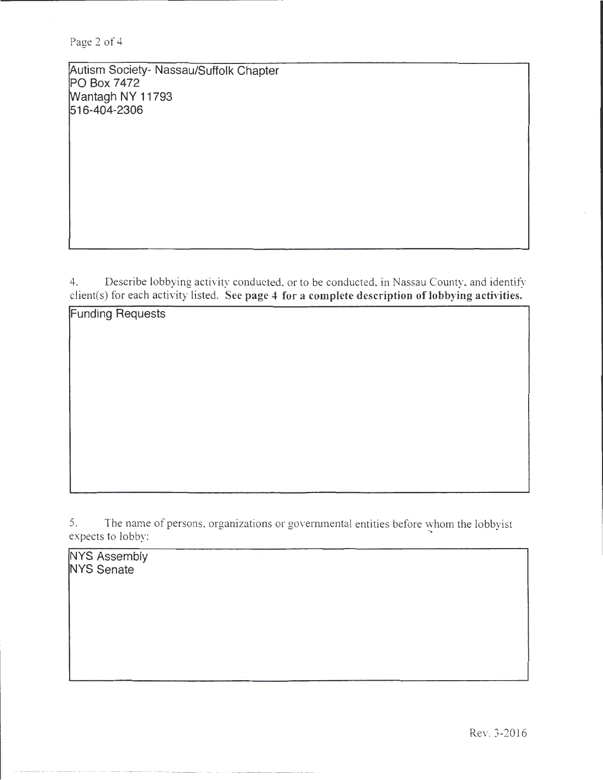Autism Society- Nassau/Suffolk Chapter PO Box 7472 Wantagh NY 11793 516-404-2306

4. Describe lobbying activity conducted, or to be conducted, in Nassau County, and identify client(s) for each activity listed. See page 4 for a complete description of lobbying activities.

5. The name of persons, organizations or governmental entities before whom the lobbyist expects to lobby:

**NYS Assembly** NYS Senate

Funding Requests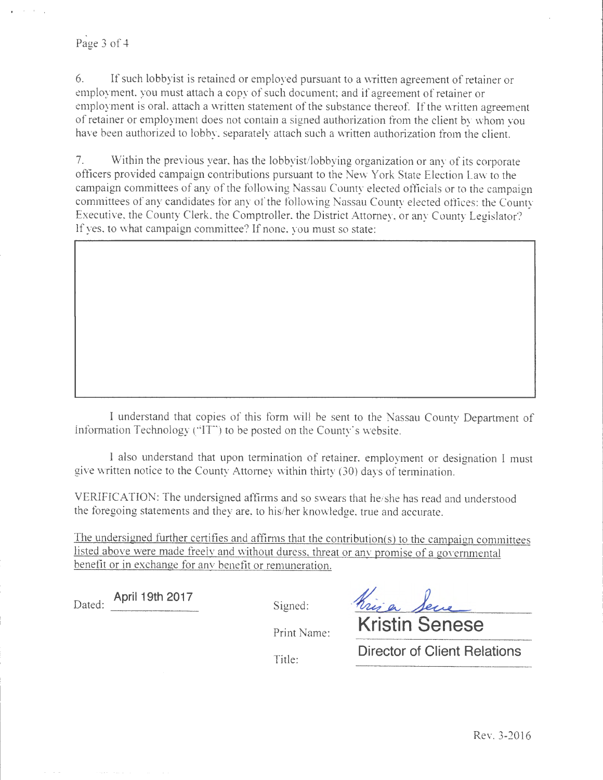## Page 3 of 4

6. If such lobbyist is retained or employed pursuant to a written agreement of retainer or employment, you must attach a copy of such document; and if agreement of retainer or employment is oral, attach a written statement of the substance thereof. If the written agreement of retainer or employment does not contain a signed authorization from the client by whom you have been authorized to lobby, separately attach such a written authorization from the client.

7. Within the previous year, has the lobbyist/lobbying organization or any of its corporate officers provided campaign contributions pursuant to the New York State Election Law to the campaign committees of any of the following Nassau County elected officials or to the campaign committees of any candidates tor any of the following Nassau County elected offices: the County Executive, the County Clerk, the Comptroller, the District Attorney, or any County Legislator? If yes, to what campaign committee? If none, you must so state:

I understand that copies of this form will be sent to the Nassau County Department of Information Technology ("IT") to be posted on the County's website.

I also understand that upon termination of retainer, employment or designation I must give written notice to the County Attorney within thirty (30) days of termination.

VERIFICATION: The undersigned affirms and so swears that he/she has read and understood the foregoing statements and they are, to his/her knowledge, true and accurate.

The undersigned further certifies and affirms that the contribution(s) to the campaign committees listed above were made freely and without duress. threat or any promise of a governmental benefit or in exchange for any benefit or remuneration.

Dated: **April 19th 2017** Signed:

Kriser Sen **Kristin Senese** 

Print Name:

Title:

**Director of Client Relations**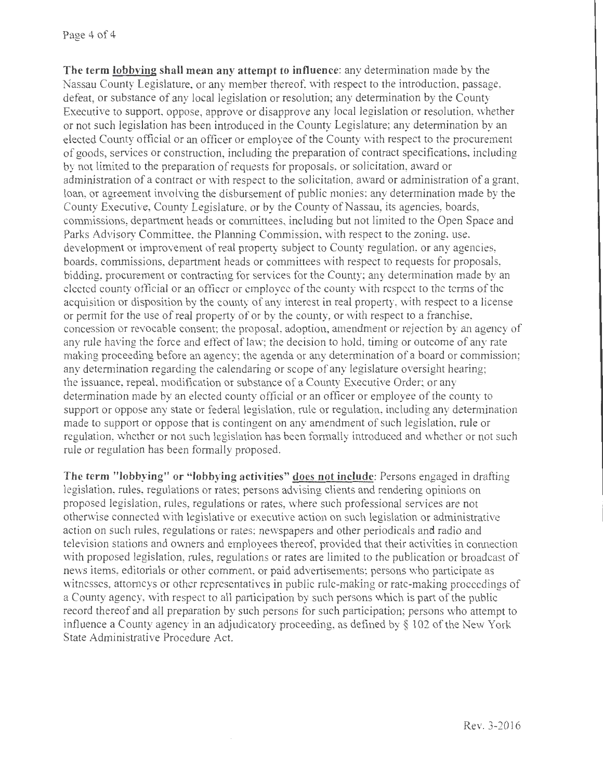**The term lobbying shall mean any attempt to influence:** any determination made by the Nassau County Legislature, or any member thereof, with respect to the introduction, passage, defeat, or substance of any local legislation or resolution; any determination by the County Executive to support, oppose, approve or disapprove any local legislation or resolution, whether or not such legislation has been introduced in the County Legislature; any determination by an elected County official or an officer or employee of the County with respect to the procurement of goods, services or construction, including the preparation of contract specifications, including by not limited to the preparation of requests for proposals, or solicitation, award or administration of a contract or with respect to the solicitation, award or administration of a grant, loan, or agreement involving the disbursement of public monies; any determination made by the County Executive, County Legislature, or by the County of Nassau, its agencies, boards, commissions, department heads or committees, including but not limited to the Open Space and Parks Advisory Committee. the Planning Commission, with respect to the zoning, use, development or improvement of real property subject to County regulation, or any agencies, boards, commissions, department heads or committees with respect to requests for proposals, bidding, procurement or contracting for services for the County; any determination made by an elected county official or an officer or employee of the county with respect to the terms of the acquisition or disposition by the county of any interest in real property, with respect to a license or permit for the use of real property of or by the county, or with respect to a franchise, concession or revocable consent; the proposal, adoption, amendment or rejection by an agency of any rule having the force and effect of law; the decision to hold, timing or outcome of any rate making proceeding before an agency; the agenda or any determination of a board or commission; any determination regarding the calendaring or scope of any legislature oversight hearing; the issuance, repeal, modification or substance of a County Executive Order; or any determination made by an elected county official or an officer or employee of the county to support or oppose any state or federal legislation, rule or regulation, including any determination made to support or oppose that is contingent on any amendment of such legislation, rule or regulation, whether or not such legislation has been formally introduced and whether or not such rule or regulation has been formally proposed.

**The term "lobbying" or "lobbying activities" does not include:** Persons engaged in drafting legislation, rules, regulations or rates; persons advising clients and rendering opinions on proposed legislation, rules, regulations or rates, where such professional services are not otherwise connected with legislative or executive action on such legislation or administrative action on such rules, regulations or rates; newspapers and other periodicals and radio and television stations and owners and employees thereof, provided that their activities in connection with proposed legislation, rules, regulations or rates are limited to the publication or broadcast of news items, editorials or other comment, or paid advertisements; persons who participate as witnesses, attorneys or other representatives in public rule-making or rate-making proceedings of a County agency, with respect to all participation by such persons which is part of the public record thereof and all preparation by such persons for such participation; persons who attempt to influence a County agency in an adjudicatory proceeding, as defined by§ 102 of the New York State Administrative Procedure Act.